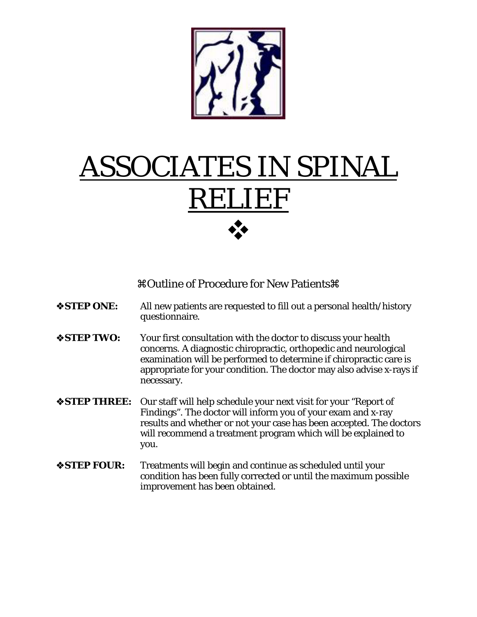

# ASSOCIATES IN SPINAL RELIEF

Outline of Procedure for New Patients

- **STEP ONE:** All new patients are requested to fill out a personal health/history questionnaire.
- **STEP TWO:** Your first consultation with the doctor to discuss your health concerns. A diagnostic chiropractic, orthopedic and neurological examination will be performed to determine if chiropractic care is appropriate for your condition. The doctor may also advise x-rays if necessary.
- **STEP THREE:** Our staff will help schedule your next visit for your "Report of Findings". The doctor will inform you of your exam and x-ray results and whether or not your case has been accepted. The doctors will recommend a treatment program which will be explained to you.
- **STEP FOUR:** Treatments will begin and continue as scheduled until your condition has been fully corrected or until the maximum possible improvement has been obtained.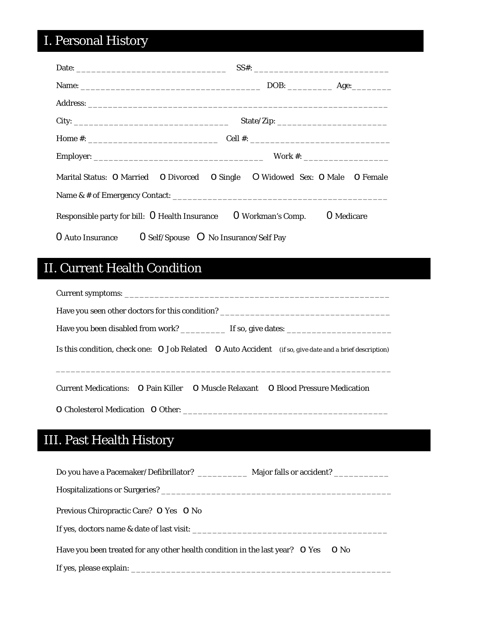# I. Personal History

|                                                                                              |  | SS#: |  |  |  |
|----------------------------------------------------------------------------------------------|--|------|--|--|--|
|                                                                                              |  |      |  |  |  |
|                                                                                              |  |      |  |  |  |
|                                                                                              |  |      |  |  |  |
|                                                                                              |  |      |  |  |  |
|                                                                                              |  |      |  |  |  |
| Marital Status: O Married O Divorced O Single O Widowed Sex: O Male O Female                 |  |      |  |  |  |
|                                                                                              |  |      |  |  |  |
| Responsible party for bill: $\Omega$ Health Insurance $\Omega$ Workman's Comp.<br>O Medicare |  |      |  |  |  |
| $0$ Auto Insurance $0$ Self/Spouse $0$ No Insurance/Self Pay                                 |  |      |  |  |  |

### II. Current Health Condition

| Is this condition, check one: $O$ Job Related $O$ Auto Accident <i>(if so, give date and a brief description)</i> |  |  |  |  |  |
|-------------------------------------------------------------------------------------------------------------------|--|--|--|--|--|
| Current Medications: O Pain Killer O Muscle Relaxant O Blood Pressure Medication                                  |  |  |  |  |  |
|                                                                                                                   |  |  |  |  |  |

# III. Past Health History

| Previous Chiropractic Care? O Yes O No                                                 |
|----------------------------------------------------------------------------------------|
|                                                                                        |
| Have you been treated for any other health condition in the last year? O Yes<br>$O$ No |
|                                                                                        |